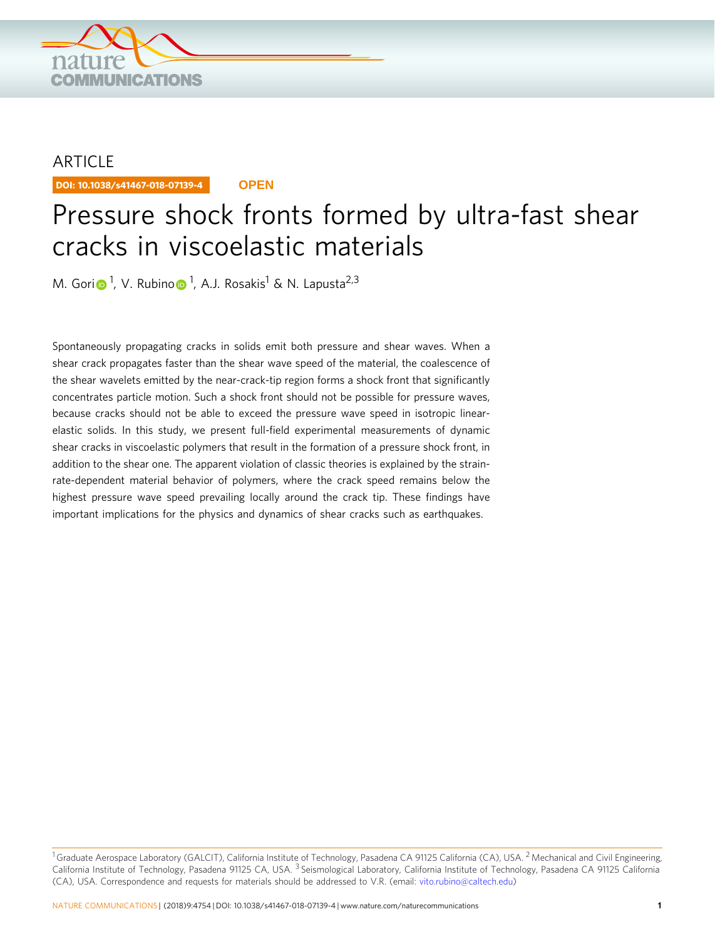

## **ARTICLE**

DOI: 10.1038/s41467-018-07139-4 **OPEN**

# Pressure shock fronts formed by ultra-fast shear cracks in viscoelastic materials

M. Gor[i](http://orcid.org/0000-0002-7380-3723)⋒<sup>[1](http://orcid.org/0000-0002-7380-3723)</sup>, V. Rubin[o](http://orcid.org/0000-0002-4023-8668)⋒<sup>1</sup>, A.J. Rosakis<sup>1</sup> & N. Lapusta<sup>2,3</sup>

Spontaneously propagating cracks in solids emit both pressure and shear waves. When a shear crack propagates faster than the shear wave speed of the material, the coalescence of the shear wavelets emitted by the near-crack-tip region forms a shock front that significantly concentrates particle motion. Such a shock front should not be possible for pressure waves, because cracks should not be able to exceed the pressure wave speed in isotropic linearelastic solids. In this study, we present full-field experimental measurements of dynamic shear cracks in viscoelastic polymers that result in the formation of a pressure shock front, in addition to the shear one. The apparent violation of classic theories is explained by the strainrate-dependent material behavior of polymers, where the crack speed remains below the highest pressure wave speed prevailing locally around the crack tip. These findings have important implications for the physics and dynamics of shear cracks such as earthquakes.

<sup>1</sup>Graduate Aerospace Laboratory (GALCIT), California Institute of Technology, Pasadena CA 91125 California (CA), USA. <sup>2</sup> Mechanical and Civil Engineering, California Institute of Technology, Pasadena 91125 CA, USA. <sup>3</sup> Seismological Laboratory, California Institute of Technology, Pasadena CA 91125 California (CA), USA. Correspondence and requests for materials should be addressed to V.R. (email: [vito.rubino@caltech.edu](mailto:vito.rubino@caltech.edu))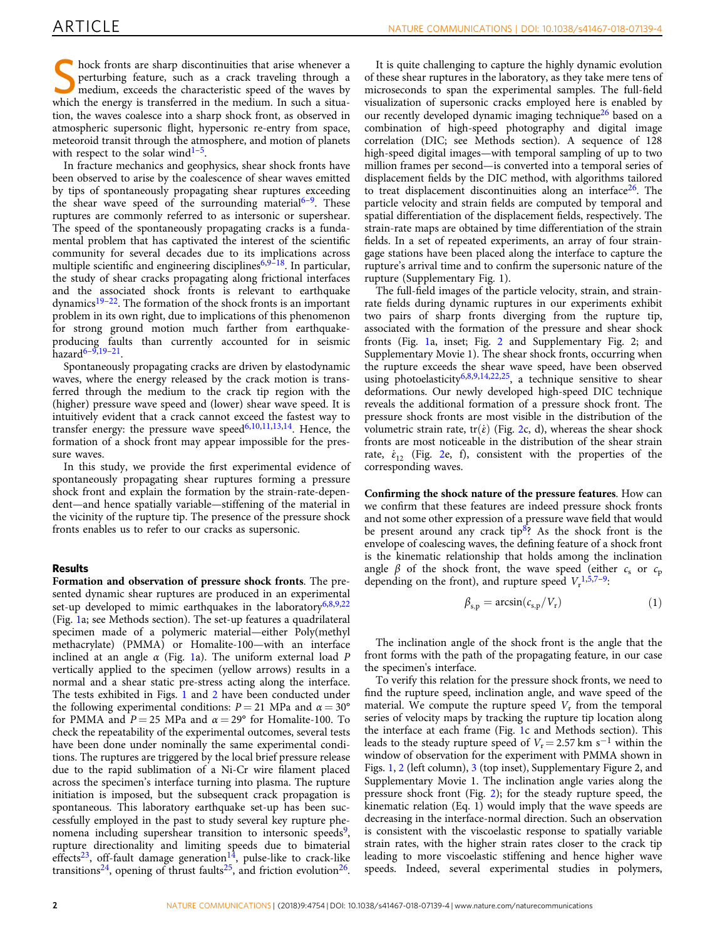hock fronts are sharp discontinuities that arise whenever a perturbing feature, such as a crack traveling through a medium, exceeds the characteristic speed of the waves by which the energy is transferred in the medium. In such a situation, the waves coalesce into a sharp shock front, as observed in atmospheric supersonic flight, hypersonic re-entry from space, meteoroid transit through the atmosphere, and motion of planets with respect to the solar wind $1-5$  $1-5$  $1-5$ .

In fracture mechanics and geophysics, shear shock fronts have been observed to arise by the coalescence of shear waves emitted by tips of spontaneously propagating shear ruptures exceeding the shear wave speed of the surrounding material<sup>[6](#page-5-0)–9</sup>. These ruptures are commonly referred to as intersonic or supershear. The speed of the spontaneously propagating cracks is a fundamental problem that has captivated the interest of the scientific community for several decades due to its implications across multiple scientific and engineering disciplines $6,9-18$  $6,9-18$  $6,9-18$ . In particular, the study of shear cracks propagating along frictional interfaces and the associated shock fronts is relevant to earthquake dynamics $19-22$  $19-22$  $19-22$ . The formation of the shock fronts is an important problem in its own right, due to implications of this phenomenon for strong ground motion much farther from earthquakeproducing faults than currently accounted for in seismic  $hazard6 - 9,19 - 21$  $hazard6 - 9,19 - 21$  $hazard6 - 9,19 - 21$  $hazard6 - 9,19 - 21$  $hazard6 - 9,19 - 21$  $hazard6 - 9,19 - 21$  $hazard6 - 9,19 - 21$  $hazard6 - 9,19 - 21$ 

Spontaneously propagating cracks are driven by elastodynamic waves, where the energy released by the crack motion is transferred through the medium to the crack tip region with the (higher) pressure wave speed and (lower) shear wave speed. It is intuitively evident that a crack cannot exceed the fastest way to transfer energy: the pressure wave speed $6,10,11,13,14$ . Hence, the formation of a shock front may appear impossible for the pressure waves.

In this study, we provide the first experimental evidence of spontaneously propagating shear ruptures forming a pressure shock front and explain the formation by the strain-rate-dependent—and hence spatially variable—stiffening of the material in the vicinity of the rupture tip. The presence of the pressure shock fronts enables us to refer to our cracks as supersonic.

#### Results

Formation and observation of pressure shock fronts. The presented dynamic shear ruptures are produced in an experimental set-up developed to mimic earthquakes in the laboratory<sup>[6](#page-5-0),[8,9,22](#page-5-0)</sup> (Fig. [1a](#page-2-0); see Methods section). The set-up features a quadrilateral specimen made of a polymeric material—either Poly(methyl methacrylate) (PMMA) or Homalite-100—with an interface inclined at an angle  $\alpha$  (Fig. [1a](#page-2-0)). The uniform external load P vertically applied to the specimen (yellow arrows) results in a normal and a shear static pre-stress acting along the interface. The tests exhibited in Figs. [1](#page-2-0) and [2](#page-3-0) have been conducted under the following experimental conditions:  $P = 21$  MPa and  $\alpha = 30^{\circ}$ for PMMA and  $P = 25$  MPa and  $\alpha = 29^{\circ}$  for Homalite-100. To check the repeatability of the experimental outcomes, several tests have been done under nominally the same experimental conditions. The ruptures are triggered by the local brief pressure release due to the rapid sublimation of a Ni-Cr wire filament placed across the specimen's interface turning into plasma. The rupture initiation is imposed, but the subsequent crack propagation is spontaneous. This laboratory earthquake set-up has been successfully employed in the past to study several key rupture phenomena including supershear transition to intersonic speeds<sup>9</sup>, rupture directionality and limiting speeds due to bimaterial effects<sup>[23](#page-5-0)</sup>, off-fault damage generation<sup>[14](#page-5-0)</sup>, pulse-like to crack-like transitions<sup>24</sup>, opening of thrust faults<sup>25</sup>, and friction evolution<sup>26</sup>.

It is quite challenging to capture the highly dynamic evolution of these shear ruptures in the laboratory, as they take mere tens of microseconds to span the experimental samples. The full-field visualization of supersonic cracks employed here is enabled by our recently developed dynamic imaging technique<sup>26</sup> based on a combination of high-speed photography and digital image correlation (DIC; see Methods section). A sequence of 128 high-speed digital images—with temporal sampling of up to two million frames per second—is converted into a temporal series of displacement fields by the DIC method, with algorithms tailored to treat displacement discontinuities along an interface  $26$ . The particle velocity and strain fields are computed by temporal and spatial differentiation of the displacement fields, respectively. The strain-rate maps are obtained by time differentiation of the strain fields. In a set of repeated experiments, an array of four straingage stations have been placed along the interface to capture the rupture's arrival time and to confirm the supersonic nature of the rupture (Supplementary Fig. 1).

The full-field images of the particle velocity, strain, and strainrate fields during dynamic ruptures in our experiments exhibit two pairs of sharp fronts diverging from the rupture tip, associated with the formation of the pressure and shear shock fronts (Fig. [1](#page-2-0)a, inset; Fig. [2](#page-3-0) and Supplementary Fig. 2; and Supplementary Movie 1). The shear shock fronts, occurring when the rupture exceeds the shear wave speed, have been observed using photoelasticity<sup>[6,8,9](#page-5-0),14,22,25</sup>, a technique sensitive to shear deformations. Our newly developed high-speed DIC technique reveals the additional formation of a pressure shock front. The pressure shock fronts are most visible in the distribution of the volumetric strain rate, tr( $\dot{\epsilon}$ ) (Fig. [2](#page-3-0)c, d), whereas the shear shock fronts are most noticeable in the distribution of the shear strain rate,  $\dot{\varepsilon}_{12}$  (Fig. [2e](#page-3-0), f), consistent with the properties of the corresponding waves.

Confirming the shock nature of the pressure features. How can we confirm that these features are indeed pressure shock fronts and not some other expression of a pressure wave field that would be present around any crack tip<sup>8</sup>? As the shock front is the envelope of coalescing waves, the defining feature of a shock front is the kinematic relationship that holds among the inclination angle  $\beta$  of the shock front, the wave speed (either  $c_s$  or  $c_p$ depending on the front), and rupture speed  $V_r^{1,5,7-9}$  $V_r^{1,5,7-9}$  $V_r^{1,5,7-9}$  $V_r^{1,5,7-9}$  $V_r^{1,5,7-9}$ .

$$
\beta_{s,p} = \arcsin(c_{s,p}/V_r) \tag{1}
$$

The inclination angle of the shock front is the angle that the front forms with the path of the propagating feature, in our case the specimen's interface.

To verify this relation for the pressure shock fronts, we need to find the rupture speed, inclination angle, and wave speed of the material. We compute the rupture speed  $V_r$  from the temporal series of velocity maps by tracking the rupture tip location along the interface at each frame (Fig. [1](#page-2-0)c and Methods section). This leads to the steady rupture speed of  $V_r$ = 2.57 km s<sup>−1</sup> within the window of observation for the experiment with PMMA shown in Figs. [1,](#page-2-0) [2](#page-3-0) (left column), [3](#page-4-0) (top inset), Supplementary Figure 2, and Supplementary Movie 1. The inclination angle varies along the pressure shock front (Fig. [2](#page-3-0)); for the steady rupture speed, the kinematic relation (Eq. 1) would imply that the wave speeds are decreasing in the interface-normal direction. Such an observation is consistent with the viscoelastic response to spatially variable strain rates, with the higher strain rates closer to the crack tip leading to more viscoelastic stiffening and hence higher wave speeds. Indeed, several experimental studies in polymers,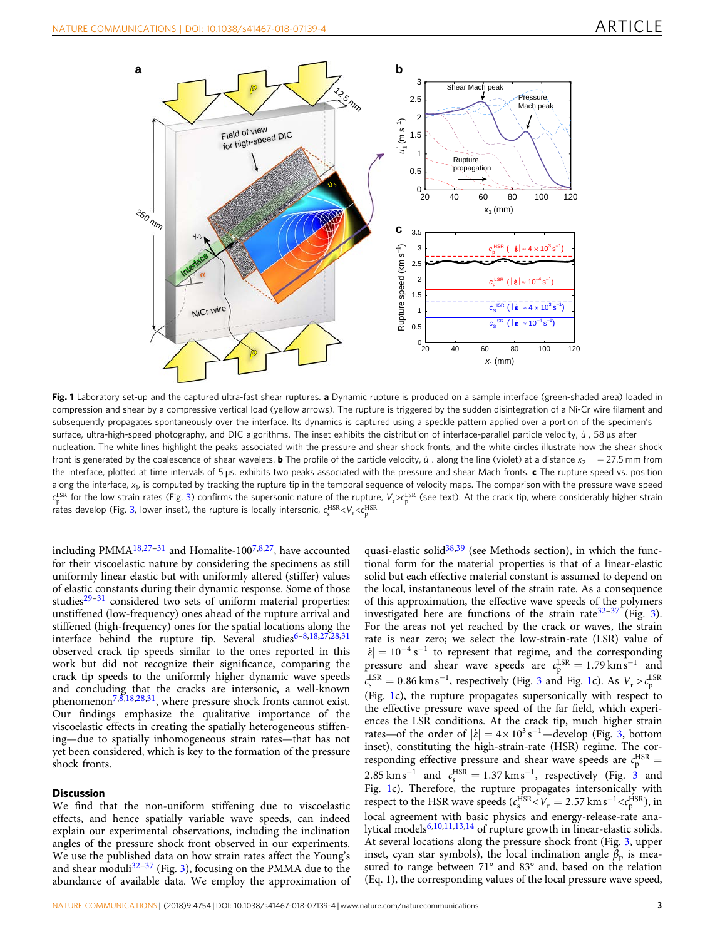<span id="page-2-0"></span>

Fig. 1 Laboratory set-up and the captured ultra-fast shear ruptures. a Dynamic rupture is produced on a sample interface (green-shaded area) loaded in compression and shear by a compressive vertical load (yellow arrows). The rupture is triggered by the sudden disintegration of a Ni-Cr wire filament and subsequently propagates spontaneously over the interface. Its dynamics is captured using a speckle pattern applied over a portion of the specimen's surface, ultra-high-speed photography, and DIC algorithms. The inset exhibits the distribution of interface-parallel particle velocity,  $u_1$ , 58 µs after nucleation. The white lines highlight the peaks associated with the pressure and shear shock fronts, and the white circles illustrate how the shear shock front is generated by the coalescence of shear wavelets. **b** The profile of the particle velocity,  $u_1$ , along the line (violet) at a distance  $x_2 = -27.5$  mm from the interface, plotted at time intervals of 5 μs, exhibits two peaks associated with the pressure and shear Mach fronts. c The rupture speed vs. position along the interface,  $x_1$ , is computed by tracking the rupture tip in the temporal sequence of velocity maps. The comparison with the pressure wave speed  $c_{\rm p}^{\rm LSR}$  for the low strain rates (Fig. [3](#page-4-0)) confirms the supersonic nature of the rupture,  $V_{\rm r}$   $\sim$   $c_{\rm p}^{\rm LSR}$  (see text). At the crack tip, where considerably higher strain rates develop (Fig. [3](#page-4-0), lower inset), the rupture is locally intersonic,  $\epsilon_{\rm s}^{\rm HSR} {<} V_{\rm r} {<} \epsilon_{\rm p}^{\rm HSR}$ 

including PMMA<sup>[18,27](#page-5-0)-[31](#page-5-0)</sup> and Homalite-100<sup>7,8,[27](#page-5-0)</sup>, have accounted for their viscoelastic nature by considering the specimens as still uniformly linear elastic but with uniformly altered (stiffer) values of elastic constants during their dynamic response. Some of those studies $29-31$  $29-31$  $29-31$  considered two sets of uniform material properties: unstiffened (low-frequency) ones ahead of the rupture arrival and stiffened (high-frequency) ones for the spatial locations along the interface behind the rupture tip. Several studies $6-8,18,27,28,31$  $6-8,18,27,28,31$  $6-8,18,27,28,31$ observed crack tip speeds similar to the ones reported in this work but did not recognize their significance, comparing the crack tip speeds to the uniformly higher dynamic wave speeds and concluding that the cracks are intersonic, a well-known phenomenon<sup>7,8,18,28,31</sup>, where pressure shock fronts cannot exist. Our findings emphasize the qualitative importance of the viscoelastic effects in creating the spatially heterogeneous stiffening—due to spatially inhomogeneous strain rates—that has not yet been considered, which is key to the formation of the pressure shock fronts.

### **Discussion**

We find that the non-uniform stiffening due to viscoelastic effects, and hence spatially variable wave speeds, can indeed explain our experimental observations, including the inclination angles of the pressure shock front observed in our experiments. We use the published data on how strain rates affect the Young's and shear moduli<sup>[32](#page-5-0)-[37](#page-5-0)</sup> (Fig. [3](#page-4-0)), focusing on the PMMA due to the abundance of available data. We employ the approximation of quasi-elastic solid $38,39$  $38,39$  (see Methods section), in which the functional form for the material properties is that of a linear-elastic solid but each effective material constant is assumed to depend on the local, instantaneous level of the strain rate. As a consequence of this approximation, the effective wave speeds of the polymers investigated here are functions of the strain rate<sup>[32](#page-5-0)-[37](#page-5-0)</sup> (Fig. [3](#page-4-0)). For the areas not yet reached by the crack or waves, the strain rate is near zero; we select the low-strain-rate (LSR) value of  $|\dot{\varepsilon}| = 10^{-4} \text{ s}^{-1}$  to represent that regime, and the corresponding pressure and shear wave speeds are  $c_p^{\text{LSR}} = 1.79 \text{ km s}^{-1}$  and  $c_s^{\text{LSR}} = 0.86 \text{ km s}^{-1}$ , respectively (Fig. [3](#page-4-0) and Fig. 1c). As  $V_r > c_p^{\text{LSR}}$ (Fig. 1c), the rupture propagates supersonically with respect to the effective pressure wave speed of the far field, which experiences the LSR conditions. At the crack tip, much higher strain rates—of the order of  $|\dot{\varepsilon}| = 4 \times 10^3 \text{ s}^{-1}$  $|\dot{\varepsilon}| = 4 \times 10^3 \text{ s}^{-1}$  $|\dot{\varepsilon}| = 4 \times 10^3 \text{ s}^{-1}$ —develop (Fig. 3, bottom inset), constituting the high-strain-rate (HSR) regime. The corresponding effective pressure and shear wave speeds are  $c_{\rm p}^{\rm HSR} =$ 2.85 km s<sup>-1</sup> and  $c_s^{\text{HSR}} = 1.37 \text{ km s}^{-1}$  $c_s^{\text{HSR}} = 1.37 \text{ km s}^{-1}$  $c_s^{\text{HSR}} = 1.37 \text{ km s}^{-1}$ , respectively (Fig. 3 and Fig. 1c). Therefore, the rupture propagates intersonically with respect to the HSR wave speeds  $(c_s^{\text{HSR}} < V_r = 2.57 \text{ km s}^{-1} < c_p^{\text{HSR}})$ , in local agreement with basic physics and energy-release-rate ana-lytical models<sup>[6](#page-5-0),[10](#page-5-0),[11](#page-5-0),[13](#page-5-0),[14](#page-5-0)</sup> of rupture growth in linear-elastic solids. At several locations along the pressure shock front (Fig. [3,](#page-4-0) upper inset, cyan star symbols), the local inclination angle  $\beta_p$  is measured to range between 71° and 83° and, based on the relation (Eq. 1), the corresponding values of the local pressure wave speed,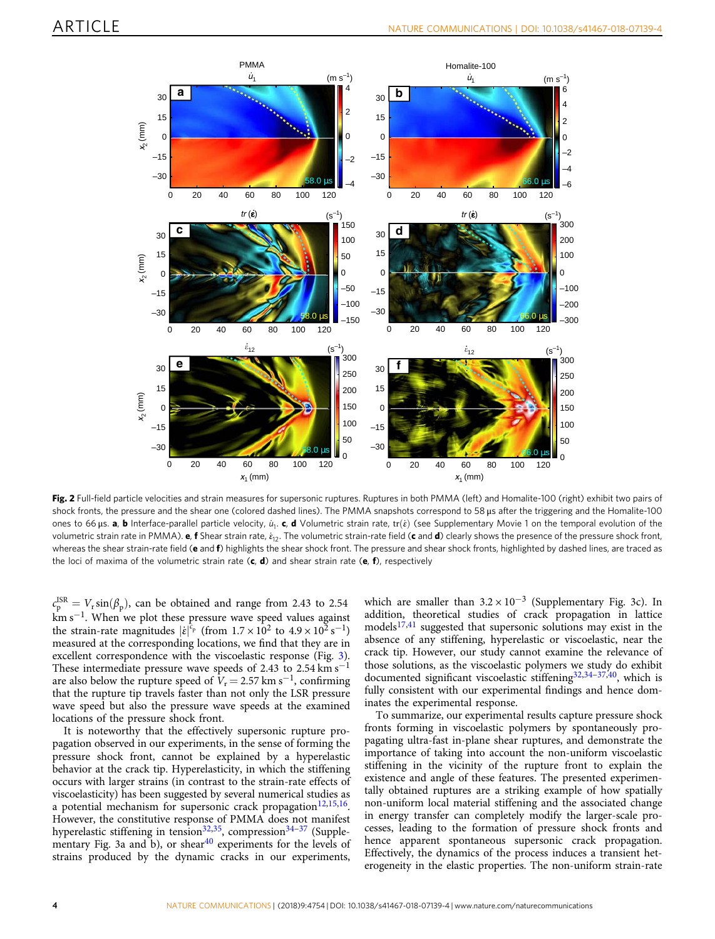<span id="page-3-0"></span>

Fig. 2 Full-field particle velocities and strain measures for supersonic ruptures. Ruptures in both PMMA (left) and Homalite-100 (right) exhibit two pairs of shock fronts, the pressure and the shear one (colored dashed lines). The PMMA snapshots correspond to 58 μs after the triggering and the Homalite-100 ones to 66 μs. a, b Interface-parallel particle velocity,  $u_1$ . c, d Volumetric strain rate, tr $(\dot{\varepsilon})$  (see Supplementary Movie 1 on the temporal evolution of the volumetric strain rate in PMMA). e, f Shear strain rate,  $\dot{\varepsilon}_{12}$ . The volumetric strain-rate field (c and d) clearly shows the presence of the pressure shock front, whereas the shear strain-rate field (e and f) highlights the shear shock front. The pressure and shear shock fronts, highlighted by dashed lines, are traced as the loci of maxima of the volumetric strain rate  $(c, d)$  and shear strain rate  $(e, f)$ , respectively

 $c_{\rm p}^{\rm ISR}=V_{\rm r}\sin(\beta_{\rm p}),$  can be obtained and range from 2.43 to 2.54  $km s<sup>-1</sup>$ . When we plot these pressure wave speed values against the strain-rate magnitudes  $|\dot{\varepsilon}|^{c_p}$  (from  $1.7 \times 10^2$  to  $4.9 \times 10^2$  s<sup>-1</sup>) measured at the corresponding locations, we find that they are in excellent correspondence with the viscoelastic response (Fig. [3](#page-4-0)). These intermediate pressure wave speeds of 2.43 to 2.54 km s<sup>-1</sup> are also below the rupture speed of  $V_r = 2.57$  km s<sup>-1</sup>, confirming that the rupture tip travels faster than not only the LSR pressure wave speed but also the pressure wave speeds at the examined locations of the pressure shock front.

It is noteworthy that the effectively supersonic rupture propagation observed in our experiments, in the sense of forming the pressure shock front, cannot be explained by a hyperelastic behavior at the crack tip. Hyperelasticity, in which the stiffening occurs with larger strains (in contrast to the strain-rate effects of viscoelasticity) has been suggested by several numerical studies as a potential mechanism for supersonic crack propagation $12,15,16$ . However, the constitutive response of PMMA does not manifest hyperelastic stiffening in tension<sup>32,35</sup>, compression<sup>[34](#page-5-0)-[37](#page-5-0)</sup> (Supple-mentary Fig. 3a and b), or shear<sup>[40](#page-5-0)</sup> experiments for the levels of strains produced by the dynamic cracks in our experiments,

which are smaller than  $3.2 \times 10^{-3}$  (Supplementary Fig. 3c). In addition, theoretical studies of crack propagation in lattice models $17,41$  $17,41$  $17,41$  suggested that supersonic solutions may exist in the absence of any stiffening, hyperelastic or viscoelastic, near the crack tip. However, our study cannot examine the relevance of those solutions, as the viscoelastic polymers we study do exhibit documented significant viscoelastic stiffening $32,34-37,40$  $32,34-37,40$ , which is fully consistent with our experimental findings and hence dominates the experimental response.

To summarize, our experimental results capture pressure shock fronts forming in viscoelastic polymers by spontaneously propagating ultra-fast in-plane shear ruptures, and demonstrate the importance of taking into account the non-uniform viscoelastic stiffening in the vicinity of the rupture front to explain the existence and angle of these features. The presented experimentally obtained ruptures are a striking example of how spatially non-uniform local material stiffening and the associated change in energy transfer can completely modify the larger-scale processes, leading to the formation of pressure shock fronts and hence apparent spontaneous supersonic crack propagation. Effectively, the dynamics of the process induces a transient heterogeneity in the elastic properties. The non-uniform strain-rate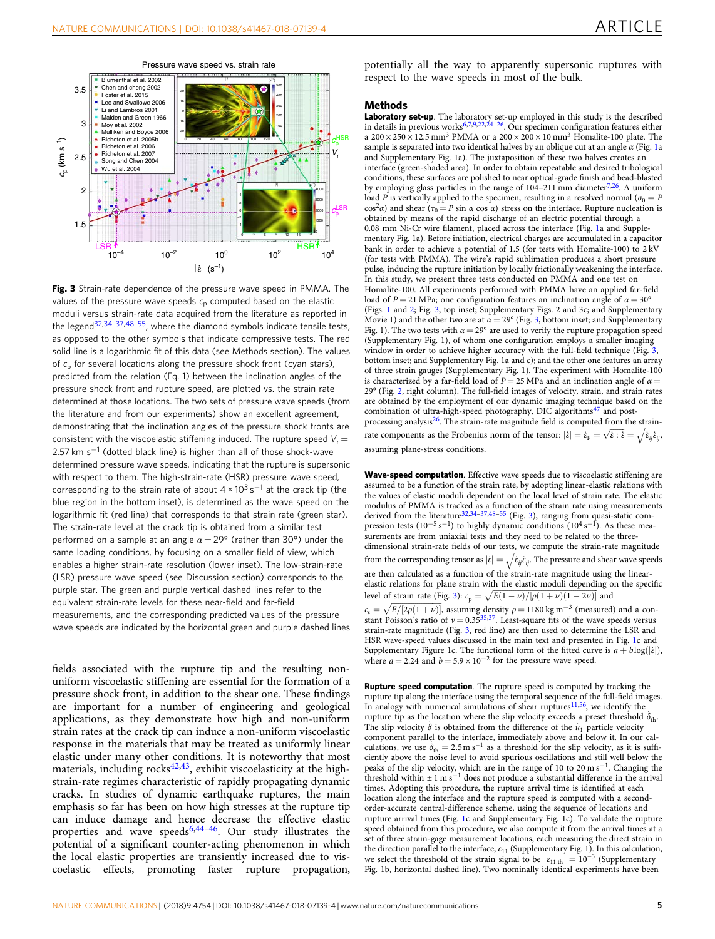<span id="page-4-0"></span>

Pressure wave speed vs. strain rate

Fig. 3 Strain-rate dependence of the pressure wave speed in PMMA. The values of the pressure wave speeds  $c_p$  computed based on the elastic moduli versus strain-rate data acquired from the literature as reported in the legend<sup>32,[34](#page-5-0)-[37,48](#page-5-0)-[55](#page-6-0)</sup>, where the diamond symbols indicate tensile tests. as opposed to the other symbols that indicate compressive tests. The red solid line is a logarithmic fit of this data (see Methods section). The values of  $c<sub>n</sub>$  for several locations along the pressure shock front (cyan stars), predicted from the relation (Eq. 1) between the inclination angles of the pressure shock front and rupture speed, are plotted vs. the strain rate determined at those locations. The two sets of pressure wave speeds (from the literature and from our experiments) show an excellent agreement, demonstrating that the inclination angles of the pressure shock fronts are consistent with the viscoelastic stiffening induced. The rupture speed  $V_r =$ 2.57 km s<sup>-1</sup> (dotted black line) is higher than all of those shock-wave determined pressure wave speeds, indicating that the rupture is supersonic with respect to them. The high-strain-rate (HSR) pressure wave speed, corresponding to the strain rate of about  $4 \times 10^3$  s<sup>-1</sup> at the crack tip (the blue region in the bottom inset), is determined as the wave speed on the logarithmic fit (red line) that corresponds to that strain rate (green star). The strain-rate level at the crack tip is obtained from a similar test performed on a sample at an angle  $\alpha = 29^{\circ}$  (rather than 30°) under the same loading conditions, by focusing on a smaller field of view, which enables a higher strain-rate resolution (lower inset). The low-strain-rate (LSR) pressure wave speed (see Discussion section) corresponds to the purple star. The green and purple vertical dashed lines refer to the equivalent strain-rate levels for these near-field and far-field measurements, and the corresponding predicted values of the pressure wave speeds are indicated by the horizontal green and purple dashed lines

fields associated with the rupture tip and the resulting nonuniform viscoelastic stiffening are essential for the formation of a pressure shock front, in addition to the shear one. These findings are important for a number of engineering and geological applications, as they demonstrate how high and non-uniform strain rates at the crack tip can induce a non-uniform viscoelastic response in the materials that may be treated as uniformly linear elastic under many other conditions. It is noteworthy that most materials, including rocks<sup>[42](#page-5-0),[43](#page-5-0)</sup>, exhibit viscoelasticity at the highstrain-rate regimes characteristic of rapidly propagating dynamic cracks. In studies of dynamic earthquake ruptures, the main emphasis so far has been on how high stresses at the rupture tip can induce damage and hence decrease the effective elastic properties and wave speeds $6,44-46$  $6,44-46$  $6,44-46$  $6,44-46$  $6,44-46$ . Our study illustrates the potential of a significant counter-acting phenomenon in which the local elastic properties are transiently increased due to viscoelastic effects, promoting faster rupture propagation,

potentially all the way to apparently supersonic ruptures with respect to the wave speeds in most of the bulk.

### **Methods**

Laboratory set-up. The laboratory set-up employed in this study is the described in details in previous works<sup>[6,7,9,22,24](#page-5-0)–26</sup>. Our specimen configuration features either a  $200 \times 250 \times 12.5$  mm<sup>3</sup> PMMA or a  $200 \times 200 \times 10$  mm<sup>3</sup> Homalite-100 plate. The sample is separated into two identical halves by an oblique cut at an angle  $\alpha$  (Fig. [1](#page-2-0)a and Supplementary Fig. 1a). The juxtaposition of these two halves creates an interface (green-shaded area). In order to obtain repeatable and desired tribological conditions, these surfaces are polished to near optical-grade finish and bead-blasted by employing glass particles in the range of  $104-211$  mm diameter<sup>7,26</sup>. A uniform load P is vertically applied to the specimen, resulting in a resolved normal ( $\sigma_0 = P$ cos<sup>2</sup>α) and shear ( $\tau_0 = P \sin \alpha \cos \alpha$ ) stress on the interface. Rupture nucleation is obtained by means of the rapid discharge of an electric potential through a 0.08 mm Ni-Cr wire filament, placed across the interface (Fig. [1a](#page-2-0) and Supplementary Fig. 1a). Before initiation, electrical charges are accumulated in a capacitor bank in order to achieve a potential of 1.5 (for tests with Homalite-100) to 2 kV (for tests with PMMA). The wire's rapid sublimation produces a short pressure pulse, inducing the rupture initiation by locally frictionally weakening the interface. In this study, we present three tests conducted on PMMA and one test on Homalite-100. All experiments performed with PMMA have an applied far-field load of  $P = 21$  MPa; one configuration features an inclination angle of  $\alpha = 30^{\circ}$ (Figs. [1](#page-2-0) and [2](#page-3-0); Fig. 3, top inset; Supplementary Figs. 2 and 3c; and Supplementary Movie 1) and the other two are at  $\alpha = 29^{\circ}$  (Fig. 3, bottom inset; and Supplementary Fig. 1). The two tests with  $\alpha = 29^{\circ}$  are used to verify the rupture propagation speed (Supplementary Fig. 1), of whom one configuration employs a smaller imaging window in order to achieve higher accuracy with the full-field technique (Fig. 3, bottom inset; and Supplementary Fig. 1a and c); and the other one features an array of three strain gauges (Supplementary Fig. 1). The experiment with Homalite-100 is characterized by a far-field load of  $P = 25$  MPa and an inclination angle of  $\alpha =$ 29° (Fig. [2,](#page-3-0) right column). The full-field images of velocity, strain, and strain rates are obtained by the employment of our dynamic imaging technique based on the combination of ultra-high-speed photography, DIC algorithms<sup>[47](#page-5-0)</sup> and postprocessing analysis $^{26}$  $^{26}$  $^{26}$ . The strain-rate magnitude field is computed from the strainrate components as the Frobenius norm of the tensor:  $|\dot{\varepsilon}| = \dot{\varepsilon}_{\rm F} = \sqrt{\dot{\varepsilon} \cdot \dot{\varepsilon}} = \sqrt{\dot{\varepsilon}_{ij} \dot{\varepsilon}_{ij}}$ assuming plane-stress conditions.

Wave-speed computation. Effective wave speeds due to viscoelastic stiffening are assumed to be a function of the strain rate, by adopting linear-elastic relations with the values of elastic moduli dependent on the local level of strain rate. The elastic modulus of PMMA is tracked as a function of the strain rate using measurements derived from the literature<sup>[32](#page-5-0),[34](#page-5-0)-[37,48](#page-5-0)-[55](#page-6-0)</sup> (Fig. 3), ranging from quasi-static compression tests (10<sup>-5</sup> s<sup>-1</sup>) to highly dynamic conditions (10<sup>4</sup> s<sup>-1</sup>). As these measurements are from uniaxial tests and they need to be related to the threedimensional strain-rate fields of our tests, we compute the strain-rate magnitude from the corresponding tensor as  $|\dot{\varepsilon}| = \sqrt{\dot{\varepsilon}_{ij}\dot{\varepsilon}_{ij}}$ . The pressure and shear wave speeds are then calculated as a function of the strain-rate magnitude using the linearelastic relations for plane strain with the elastic moduli depending on the specific level of strain rate (Fig. 3):  $c_p = \sqrt{E(1 - \nu)/[\rho(1 + \nu)(1 - 2\nu)]}$  and  $c_s = \sqrt{E/[2\rho(1+\nu)]}$ , assuming density  $\rho = 1180 \text{ kg m}^{-3}$  (measured) and a con-

stant Poisson's ratio of  $v = 0.35^{35,37}$ . Least-square fits of the wave speeds versus strain-rate magnitude (Fig. 3, red line) are then used to determine the LSR and HSR wave-speed values discussed in the main text and presented in Fig. [1](#page-2-0)c and Supplementary Figure 1c. The functional form of the fitted curve is  $a + b \log(|\dot{\varepsilon}|)$ , where  $a = 2.24$  and  $b = 5.9 \times 10^{-2}$  for the pressure wave speed.

Rupture speed computation. The rupture speed is computed by tracking the rupture tip along the interface using the temporal sequence of the full-field images. In analogy with numerical simulations of shear ruptures $11,56$  $11,56$  $11,56$ , we identify the rupture tip as the location where the slip velocity exceeds a preset threshold  $\dot{\delta}_{\rm th}$ . The slip velocity  $\dot{\delta}$  is obtained from the difference of the  $u_1$  particle velocity component parallel to the interface, immediately above and below it. In our calculations, we use  $\delta_{\text{th}} = 2.5 \text{ m s}^{-1}$  as a threshold for the slip velocity, as it is sufficiently above the noise level to avoid spurious oscillations and still well below the peaks of the slip velocity, which are in the range of 10 to 20 m s<sup>−</sup>1. Changing the threshold within  $\pm 1$  m s<sup>-1</sup> does not produce a substantial difference in the arrival times. Adopting this procedure, the rupture arrival time is identified at each location along the interface and the rupture speed is computed with a secondorder-accurate central-difference scheme, using the sequence of locations and rupture arrival times (Fig. [1](#page-2-0)c and Supplementary Fig. 1c). To validate the rupture speed obtained from this procedure, we also compute it from the arrival times at a set of three strain-gage measurement locations, each measuring the direct strain in the direction parallel to the interface,  $\varepsilon_{11}$  (Supplementary Fig. 1). In this calculation, we select the threshold of the strain signal to be  $\left|\epsilon_{11, \text{th}}\right| = 10^{-3}$  (Supplementary Fig. 1b, horizontal dashed line). Two nominally identical experiments have been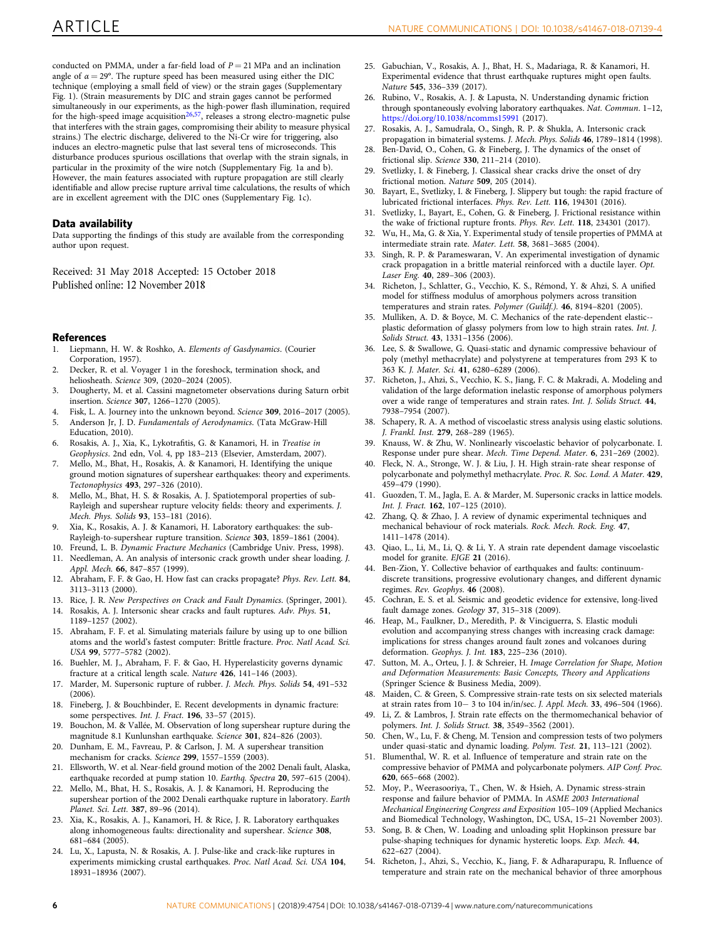<span id="page-5-0"></span>conducted on PMMA, under a far-field load of  $P = 21$  MPa and an inclination angle of  $\alpha = 29^{\circ}$ . The rupture speed has been measured using either the DIC technique (employing a small field of view) or the strain gages (Supplementary Fig. 1). (Strain measurements by DIC and strain gages cannot be performed simultaneously in our experiments, as the high-power flash illumination, required for the high-speed image acquisition<sup>26,[57](#page-6-0)</sup>, releases a strong electro-magnetic pulse that interferes with the strain gages, compromising their ability to measure physical strains.) The electric discharge, delivered to the Ni-Cr wire for triggering, also induces an electro-magnetic pulse that last several tens of microseconds. This disturbance produces spurious oscillations that overlap with the strain signals, in particular in the proximity of the wire notch (Supplementary Fig. 1a and b). However, the main features associated with rupture propagation are still clearly identifiable and allow precise rupture arrival time calculations, the results of which are in excellent agreement with the DIC ones (Supplementary Fig. 1c).

#### Data availability

Data supporting the findings of this study are available from the corresponding author upon request.

Received: 31 May 2018 Accepted: 15 October 2018 Published online: 12 November 2018

#### **References**

- 1. Liepmann, H. W. & Roshko, A. Elements of Gasdynamics. (Courier Corporation, 1957).
- 2. Decker, R. et al. Voyager 1 in the foreshock, termination shock, and heliosheath. Science 309, (2020–2024 (2005).
- 3. Dougherty, M. et al. Cassini magnetometer observations during Saturn orbit insertion. Science 307, 1266–1270 (2005).
- 4. Fisk, L. A. Journey into the unknown beyond. Science 309, 2016–2017 (2005).
- 5. Anderson Jr, J. D. Fundamentals of Aerodynamics. (Tata McGraw-Hill Education, 2010).
- 6. Rosakis, A. J., Xia, K., Lykotrafitis, G. & Kanamori, H. in Treatise in Geophysics. 2nd edn, Vol. 4, pp 183–213 (Elsevier, Amsterdam, 2007).
- 7. Mello, M., Bhat, H., Rosakis, A. & Kanamori, H. Identifying the unique ground motion signatures of supershear earthquakes: theory and experiments. Tectonophysics 493, 297–326 (2010).
- 8. Mello, M., Bhat, H. S. & Rosakis, A. J. Spatiotemporal properties of sub-Rayleigh and supershear rupture velocity fields: theory and experiments. J. Mech. Phys. Solids 93, 153–181 (2016).
- 9. Xia, K., Rosakis, A. J. & Kanamori, H. Laboratory earthquakes: the sub-Rayleigh-to-supershear rupture transition. Science 303, 1859–1861 (2004).
- 10. Freund, L. B. Dynamic Fracture Mechanics (Cambridge Univ. Press, 1998).
- 11. Needleman, A. An analysis of intersonic crack growth under shear loading. J. Appl. Mech. 66, 847-857 (1999).
- 12. Abraham, F. F. & Gao, H. How fast can cracks propagate? Phys. Rev. Lett. 84, 3113–3113 (2000).
- 13. Rice, J. R. New Perspectives on Crack and Fault Dynamics. (Springer, 2001).
- 14. Rosakis, A. J. Intersonic shear cracks and fault ruptures. Adv. Phys. 51, 1189–1257 (2002).
- 15. Abraham, F. F. et al. Simulating materials failure by using up to one billion atoms and the world's fastest computer: Brittle fracture. Proc. Natl Acad. Sci. USA 99, 5777–5782 (2002).
- 16. Buehler, M. J., Abraham, F. F. & Gao, H. Hyperelasticity governs dynamic fracture at a critical length scale. Nature 426, 141–146 (2003).
- 17. Marder, M. Supersonic rupture of rubber. J. Mech. Phys. Solids 54, 491–532 (2006).
- 18. Fineberg, J. & Bouchbinder, E. Recent developments in dynamic fracture: some perspectives. Int. J. Fract. 196, 33–57 (2015).
- 19. Bouchon, M. & Vallée, M. Observation of long supershear rupture during the magnitude 8.1 Kunlunshan earthquake. Science 301, 824–826 (2003).
- 20. Dunham, E. M., Favreau, P. & Carlson, J. M. A supershear transition mechanism for cracks. Science 299, 1557–1559 (2003).
- 21. Ellsworth, W. et al. Near-field ground motion of the 2002 Denali fault, Alaska, earthquake recorded at pump station 10. Earthq. Spectra 20, 597-615 (2004).
- 22. Mello, M., Bhat, H. S., Rosakis, A. J. & Kanamori, H. Reproducing the supershear portion of the 2002 Denali earthquake rupture in laboratory. Earth Planet. Sci. Lett. 387, 89–96 (2014).
- 23. Xia, K., Rosakis, A. J., Kanamori, H. & Rice, J. R. Laboratory earthquakes along inhomogeneous faults: directionality and supershear. Science 308, 681–684 (2005).
- 24. Lu, X., Lapusta, N. & Rosakis, A. J. Pulse-like and crack-like ruptures in experiments mimicking crustal earthquakes. Proc. Natl Acad. Sci. USA 104, 18931–18936 (2007).
- 25. Gabuchian, V., Rosakis, A. J., Bhat, H. S., Madariaga, R. & Kanamori, H. Experimental evidence that thrust earthquake ruptures might open faults. Nature 545, 336–339 (2017).
- 26. Rubino, V., Rosakis, A. J. & Lapusta, N. Understanding dynamic friction through spontaneously evolving laboratory earthquakes. Nat. Commun. 1–12, <https://doi.org/10.1038/ncomms15991> (2017).
- 27. Rosakis, A. J., Samudrala, O., Singh, R. P. & Shukla, A. Intersonic crack propagation in bimaterial systems. J. Mech. Phys. Solids 46, 1789–1814 (1998).
- 28. Ben-David, O., Cohen, G. & Fineberg, J. The dynamics of the onset of frictional slip. Science 330, 211–214 (2010).
- 29. Svetlizky, I. & Fineberg, J. Classical shear cracks drive the onset of dry frictional motion. Nature 509, 205 (2014).
- 30. Bayart, E., Svetlizky, I. & Fineberg, J. Slippery but tough: the rapid fracture of lubricated frictional interfaces. Phys. Rev. Lett. 116, 194301 (2016).
- 31. Svetlizky, I., Bayart, E., Cohen, G. & Fineberg, J. Frictional resistance within the wake of frictional rupture fronts. Phys. Rev. Lett. 118, 234301 (2017).
- 32. Wu, H., Ma, G. & Xia, Y. Experimental study of tensile properties of PMMA at intermediate strain rate. Mater. Lett. 58, 3681–3685 (2004).
- 33. Singh, R. P. & Parameswaran, V. An experimental investigation of dynamic crack propagation in a brittle material reinforced with a ductile layer. Opt. Laser Eng. 40, 289–306 (2003).
- 34. Richeton, J., Schlatter, G., Vecchio, K. S., Rémond, Y. & Ahzi, S. A unified model for stiffness modulus of amorphous polymers across transition temperatures and strain rates. Polymer (Guildf.). 46, 8194–8201 (2005).
- 35. Mulliken, A. D. & Boyce, M. C. Mechanics of the rate-dependent elastic- plastic deformation of glassy polymers from low to high strain rates. Int. J. Solids Struct. 43, 1331–1356 (2006).
- 36. Lee, S. & Swallowe, G. Quasi-static and dynamic compressive behaviour of poly (methyl methacrylate) and polystyrene at temperatures from 293 K to 363 K. J. Mater. Sci. 41, 6280–6289 (2006).
- 37. Richeton, J., Ahzi, S., Vecchio, K. S., Jiang, F. C. & Makradi, A. Modeling and validation of the large deformation inelastic response of amorphous polymers over a wide range of temperatures and strain rates. Int. J. Solids Struct. 44, 7938–7954 (2007).
- 38. Schapery, R. A. A method of viscoelastic stress analysis using elastic solutions. J. Frankl. Inst. 279, 268–289 (1965).
- 39. Knauss, W. & Zhu, W. Nonlinearly viscoelastic behavior of polycarbonate. I. Response under pure shear. Mech. Time Depend. Mater. 6, 231–269 (2002).
- 40. Fleck, N. A., Stronge, W. J. & Liu, J. H. High strain-rate shear response of polycarbonate and polymethyl methacrylate. Proc. R. Soc. Lond. A Mater. 429, 459–479 (1990).
- 41. Guozden, T. M., Jagla, E. A. & Marder, M. Supersonic cracks in lattice models. Int. J. Fract. 162, 107–125 (2010).
- 42. Zhang, Q. & Zhao, J. A review of dynamic experimental techniques and mechanical behaviour of rock materials. Rock. Mech. Rock. Eng. 47, 1411–1478 (2014).
- 43. Qiao, L., Li, M., Li, Q. & Li, Y. A strain rate dependent damage viscoelastic model for granite. EJGE 21 (2016).
- 44. Ben-Zion, Y. Collective behavior of earthquakes and faults: continuumdiscrete transitions, progressive evolutionary changes, and different dynamic regimes. Rev. Geophys. 46 (2008).
- 45. Cochran, E. S. et al. Seismic and geodetic evidence for extensive, long-lived fault damage zones. Geology 37, 315–318 (2009).
- 46. Heap, M., Faulkner, D., Meredith, P. & Vinciguerra, S. Elastic moduli evolution and accompanying stress changes with increasing crack damage: implications for stress changes around fault zones and volcanoes during deformation. Geophys. J. Int. 183, 225–236 (2010).
- 47. Sutton, M. A., Orteu, J. J. & Schreier, H. Image Correlation for Shape, Motion and Deformation Measurements: Basic Concepts, Theory and Applications (Springer Science & Business Media, 2009).
- 48. Maiden, C. & Green, S. Compressive strain-rate tests on six selected materials at strain rates from 10− 3 to 104 in/in/sec. J. Appl. Mech. 33, 496–504 (1966).
- 49. Li, Z. & Lambros, J. Strain rate effects on the thermomechanical behavior of polymers. Int. J. Solids Struct. 38, 3549–3562 (2001).
- 50. Chen, W., Lu, F. & Cheng, M. Tension and compression tests of two polymers under quasi-static and dynamic loading. Polym. Test. 21, 113–121 (2002).
- 51. Blumenthal, W. R. et al. Influence of temperature and strain rate on the compressive behavior of PMMA and polycarbonate polymers. AIP Conf. Proc. 620, 665–668 (2002).
- 52. Moy, P., Weerasooriya, T., Chen, W. & Hsieh, A. Dynamic stress-strain response and failure behavior of PMMA. In ASME 2003 International Mechanical Engineering Congress and Exposition 105–109 (Applied Mechanics and Biomedical Technology, Washington, DC, USA, 15–21 November 2003).
- 53. Song, B. & Chen, W. Loading and unloading split Hopkinson pressure bar pulse-shaping techniques for dynamic hysteretic loops. Exp. Mech. 44, 622–627 (2004).
- 54. Richeton, J., Ahzi, S., Vecchio, K., Jiang, F. & Adharapurapu, R. Influence of temperature and strain rate on the mechanical behavior of three amorphous